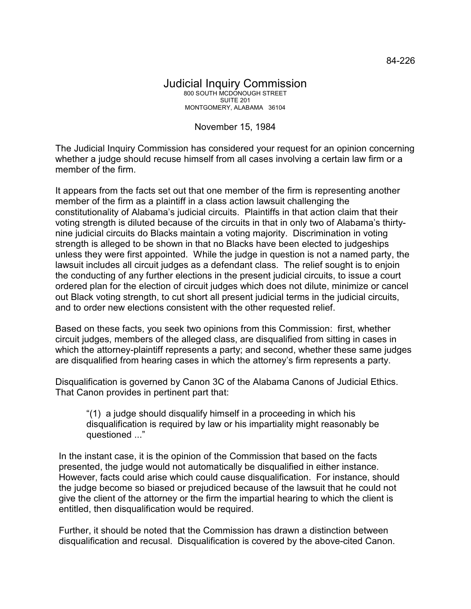## November 15, 1984

The Judicial Inquiry Commission has considered your request for an opinion concerning whether a judge should recuse himself from all cases involving a certain law firm or a member of the firm.

It appears from the facts set out that one member of the firm is representing another member of the firm as a plaintiff in a class action lawsuit challenging the constitutionality of Alabama's judicial circuits. Plaintiffs in that action claim that their voting strength is diluted because of the circuits in that in only two of Alabama's thirtynine judicial circuits do Blacks maintain a voting majority. Discrimination in voting strength is alleged to be shown in that no Blacks have been elected to judgeships unless they were first appointed. While the judge in question is not a named party, the lawsuit includes all circuit judges as a defendant class. The relief sought is to enjoin the conducting of any further elections in the present judicial circuits, to issue a court ordered plan for the election of circuit judges which does not dilute, minimize or cancel out Black voting strength, to cut short all present judicial terms in the judicial circuits, and to order new elections consistent with the other requested relief.

Based on these facts, you seek two opinions from this Commission: first, whether circuit judges, members of the alleged class, are disqualified from sitting in cases in which the attorney-plaintiff represents a party; and second, whether these same judges are disqualified from hearing cases in which the attorney's firm represents a party.

Disqualification is governed by Canon 3C of the Alabama Canons of Judicial Ethics. That Canon provides in pertinent part that:

"(1) a judge should disqualify himself in a proceeding in which his disqualification is required by law or his impartiality might reasonably be questioned ..."

In the instant case, it is the opinion of the Commission that based on the facts presented, the judge would not automatically be disqualified in either instance. However, facts could arise which could cause disqualification. For instance, should the judge become so biased or prejudiced because of the lawsuit that he could not give the client of the attorney or the firm the impartial hearing to which the client is entitled, then disqualification would be required.

Further, it should be noted that the Commission has drawn a distinction between disqualification and recusal. Disqualification is covered by the above-cited Canon.